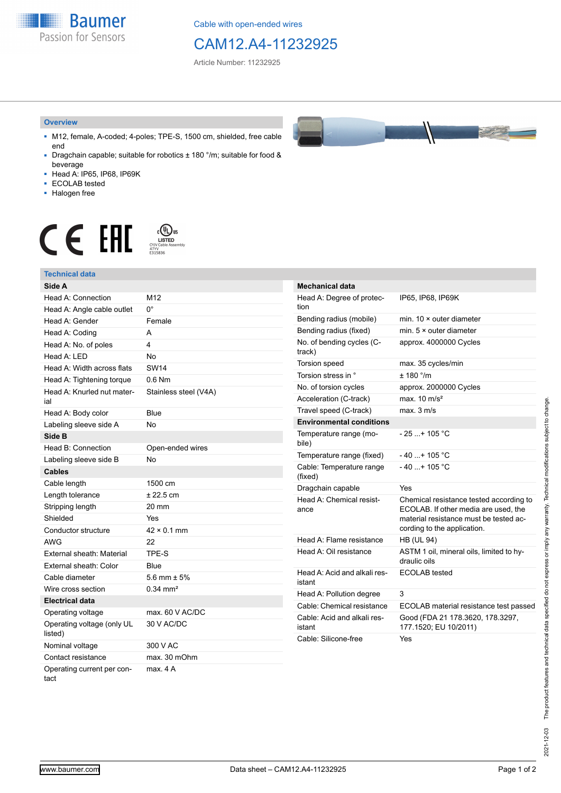**Baumer** Passion for Sensors

Cable with open-ended wires

## CAM12.A4-11232925

Article Number: 11232925

#### **Overview**

- M12, female, A-coded; 4-poles; TPE-S, 1500 cm, shielded, free cable end
- Dragchain capable; suitable for robotics ± 180 °/m; suitable for food & beverage
- Head A: IP65, IP68, IP69K
- ECOLAB tested
- Halogen free

# $\displaystyle \mathop{\mathsf{C}}\limits_{\substack{\mathsf{C} \text{YJV Cable Asser}\ \text{47YY} \ \text{47YY}}} \mathop{\mathsf{LISTED}}\limits_{\substack{\mathsf{C} \text{47YY} \ \text{E}315836}}$ **CE EAL**

### **Technical data**

| Side A                                |                       |
|---------------------------------------|-----------------------|
| Head A: Connection                    | M <sub>12</sub>       |
| Head A: Angle cable outlet            | 0°                    |
| Head A: Gender                        | Female                |
| Head A: Coding                        | A                     |
| Head A: No. of poles                  | 4                     |
| Head A: LED                           | <b>No</b>             |
| Head A: Width across flats            | <b>SW14</b>           |
| Head A: Tightening torque             | $0.6$ Nm              |
| Head A: Knurled nut mater-<br>ial     | Stainless steel (V4A) |
| Head A: Body color                    | Blue                  |
| Labeling sleeve side A                | No                    |
| Side B                                |                       |
| Head B: Connection                    | Open-ended wires      |
| Labeling sleeve side B                | <b>No</b>             |
| <b>Cables</b>                         |                       |
| Cable length                          | 1500 cm               |
| Length tolerance                      | $± 22.5$ cm           |
| Stripping length                      | 20 mm                 |
| Shielded                              | <b>Yes</b>            |
| Conductor structure                   | $42 \times 0.1$ mm    |
| <b>AWG</b>                            | 22                    |
| <b>External sheath: Material</b>      | TPF-S                 |
| External sheath: Color                | Blue                  |
| Cable diameter                        | 5.6 mm $\pm$ 5%       |
| Wire cross section                    | $0.34 \, \text{mm}^2$ |
| <b>Electrical data</b>                |                       |
| Operating voltage                     | max. 60 V AC/DC       |
| Operating voltage (only UL<br>listed) | 30 V AC/DC            |
| Nominal voltage                       | 300 V AC              |
| Contact resistance                    | max. 30 mOhm          |
| Operating current per con-<br>tact    | max. 4A               |



| <b>Mechanical data</b>                 |                                                                                                                                                          |
|----------------------------------------|----------------------------------------------------------------------------------------------------------------------------------------------------------|
| Head A: Degree of protec-<br>tion      | IP65, IP68, IP69K                                                                                                                                        |
| Bending radius (mobile)                | min. $10 \times$ outer diameter                                                                                                                          |
| Bending radius (fixed)                 | min. $5 \times$ outer diameter                                                                                                                           |
| No. of bending cycles (C-<br>track)    | approx. 4000000 Cycles                                                                                                                                   |
| <b>Torsion speed</b>                   | max. 35 cycles/min                                                                                                                                       |
| Torsion stress in °                    | $+ 180$ °/m                                                                                                                                              |
| No. of torsion cycles                  | approx. 2000000 Cycles                                                                                                                                   |
| Acceleration (C-track)                 | max. $10 \text{ m/s}^2$                                                                                                                                  |
| Travel speed (C-track)                 | max. 3 m/s                                                                                                                                               |
| <b>Environmental conditions</b>        |                                                                                                                                                          |
| Temperature range (mo-<br>bile)        | - 25 + 105 °C                                                                                                                                            |
| Temperature range (fixed)              | $-40+105$ °C                                                                                                                                             |
| Cable: Temperature range<br>(fixed)    | $-40$ + 105 °C                                                                                                                                           |
| Dragchain capable                      | Yes                                                                                                                                                      |
| Head A: Chemical resist-<br>ance       | Chemical resistance tested according to<br>ECOLAB. If other media are used, the<br>material resistance must be tested ac-<br>cording to the application. |
| Head A: Flame resistance               | <b>HB (UL 94)</b>                                                                                                                                        |
| Head A: Oil resistance                 | ASTM 1 oil, mineral oils, limited to hy-<br>draulic oils                                                                                                 |
| Head A: Acid and alkali res-<br>istant | <b>ECOLAB</b> tested                                                                                                                                     |
| Head A: Pollution degree               | 3                                                                                                                                                        |
| Cable: Chemical resistance             | ECOLAB material resistance test passed                                                                                                                   |
| Cable: Acid and alkali res-<br>istant  | Good (FDA 21 178.3620, 178.3297,<br>177.1520; EU 10/2011)                                                                                                |
| Cable: Silicone-free                   | Yes                                                                                                                                                      |